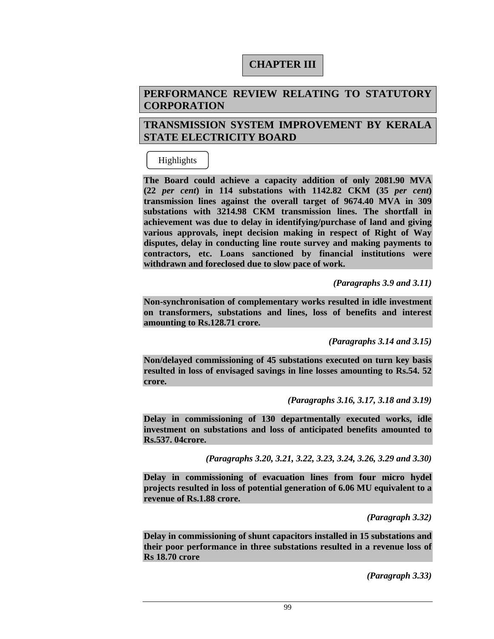# **CHAPTER III**

# **PERFORMANCE REVIEW RELATING TO STATUTORY CORPORATION**

# **TRANSMISSION SYSTEM IMPROVEMENT BY KERALA STATE ELECTRICITY BOARD**

# Highlights

**The Board could achieve a capacity addition of only 2081.90 MVA (22** *per cent***) in 114 substations with 1142.82 CKM (35** *per cent***) transmission lines against the overall target of 9674.40 MVA in 309 substations with 3214.98 CKM transmission lines. The shortfall in achievement was due to delay in identifying/purchase of land and giving various approvals, inept decision making in respect of Right of Way disputes, delay in conducting line route survey and making payments to contractors, etc. Loans sanctioned by financial institutions were withdrawn and foreclosed due to slow pace of work.** 

 *(Paragraphs 3.9 and 3.11)* 

**Non-synchronisation of complementary works resulted in idle investment on transformers, substations and lines, loss of benefits and interest amounting to Rs.128.71 crore.** 

*(Paragraphs 3.14 and 3.15)* 

**Non/delayed commissioning of 45 substations executed on turn key basis resulted in loss of envisaged savings in line losses amounting to Rs.54. 52 crore.** 

*(Paragraphs 3.16, 3.17, 3.18 and 3.19)* 

**Delay in commissioning of 130 departmentally executed works, idle investment on substations and loss of anticipated benefits amounted to Rs.537. 04crore.** 

*(Paragraphs 3.20, 3.21, 3.22, 3.23, 3.24, 3.26, 3.29 and 3.30)* 

**Delay in commissioning of evacuation lines from four micro hydel projects resulted in loss of potential generation of 6.06 MU equivalent to a revenue of Rs.1.88 crore.** 

 *(Paragraph 3.32)* 

**Delay in commissioning of shunt capacitors installed in 15 substations and their poor performance in three substations resulted in a revenue loss of Rs 18.70 crore** 

*(Paragraph 3.33)*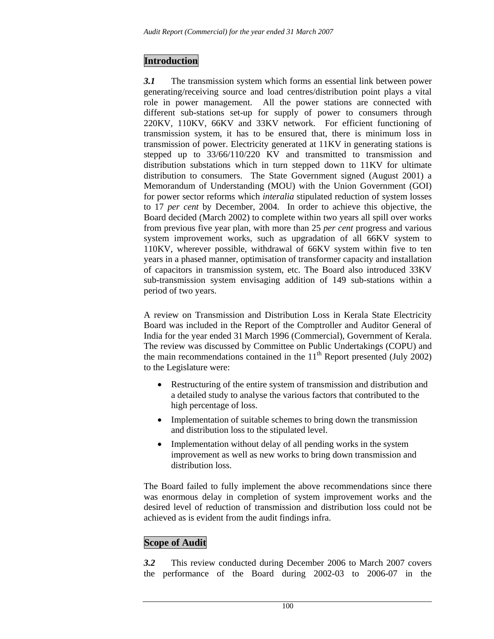# **Introduction**

*3.1* The transmission system which forms an essential link between power generating/receiving source and load centres/distribution point plays a vital role in power management. All the power stations are connected with different sub-stations set-up for supply of power to consumers through 220KV, 110KV, 66KV and 33KV network. For efficient functioning of transmission system, it has to be ensured that, there is minimum loss in transmission of power. Electricity generated at 11KV in generating stations is stepped up to 33/66/110/220 KV and transmitted to transmission and distribution substations which in turn stepped down to 11KV for ultimate distribution to consumers. The State Government signed (August 2001) a Memorandum of Understanding (MOU) with the Union Government (GOI) for power sector reforms which *interalia* stipulated reduction of system losses to 17 *per cent* by December, 2004. In order to achieve this objective, the Board decided (March 2002) to complete within two years all spill over works from previous five year plan, with more than 25 *per cent* progress and various system improvement works, such as upgradation of all 66KV system to 110KV, wherever possible, withdrawal of 66KV system within five to ten years in a phased manner, optimisation of transformer capacity and installation of capacitors in transmission system, etc. The Board also introduced 33KV sub-transmission system envisaging addition of 149 sub-stations within a period of two years.

A review on Transmission and Distribution Loss in Kerala State Electricity Board was included in the Report of the Comptroller and Auditor General of India for the year ended 31 March 1996 (Commercial), Government of Kerala. The review was discussed by Committee on Public Undertakings (COPU) and the main recommendations contained in the  $11<sup>th</sup>$  Report presented (July 2002) to the Legislature were:

- Restructuring of the entire system of transmission and distribution and a detailed study to analyse the various factors that contributed to the high percentage of loss.
- Implementation of suitable schemes to bring down the transmission and distribution loss to the stipulated level.
- Implementation without delay of all pending works in the system improvement as well as new works to bring down transmission and distribution loss.

The Board failed to fully implement the above recommendations since there was enormous delay in completion of system improvement works and the desired level of reduction of transmission and distribution loss could not be achieved as is evident from the audit findings infra.

# **Scope of Audit**

*3.2* This review conducted during December 2006 to March 2007 covers the performance of the Board during 2002-03 to 2006-07 in the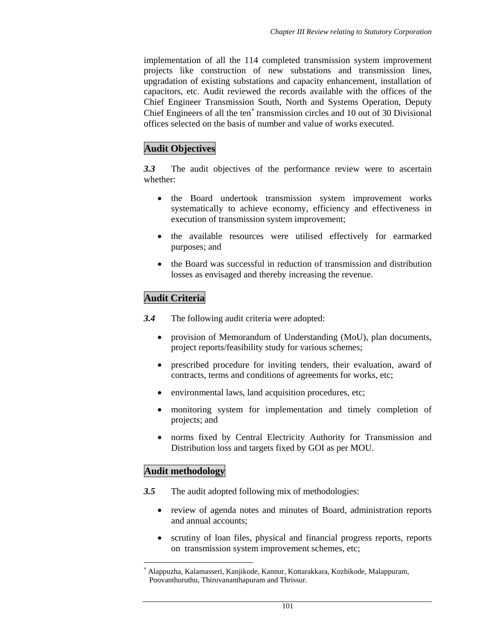implementation of all the 114 completed transmission system improvement projects like construction of new substations and transmission lines, upgradation of existing substations and capacity enhancement, installation of capacitors, etc. Audit reviewed the records available with the offices of the Chief Engineer Transmission South, North and Systems Operation, Deputy Chief Engineers of all the ten<sup>∗</sup> transmission circles and 10 out of 30 Divisional offices selected on the basis of number and value of works executed.

# **Audit Objectives**

*3.3* The audit objectives of the performance review were to ascertain whether:

- the Board undertook transmission system improvement works systematically to achieve economy, efficiency and effectiveness in execution of transmission system improvement;
- the available resources were utilised effectively for earmarked purposes; and
- the Board was successful in reduction of transmission and distribution losses as envisaged and thereby increasing the revenue.

### **Audit Criteria**

*3.4* The following audit criteria were adopted:

- provision of Memorandum of Understanding (MoU), plan documents, project reports/feasibility study for various schemes;
- prescribed procedure for inviting tenders, their evaluation, award of contracts, terms and conditions of agreements for works, etc;
- environmental laws, land acquisition procedures, etc;
- monitoring system for implementation and timely completion of projects; and
- norms fixed by Central Electricity Authority for Transmission and Distribution loss and targets fixed by GOI as per MOU.

### **Audit methodology**

- *3.5* The audit adopted following mix of methodologies:
	- review of agenda notes and minutes of Board, administration reports and annual accounts;
	- scrutiny of loan files, physical and financial progress reports, reports on transmission system improvement schemes, etc;

<sup>∗</sup> Alappuzha, Kalamasseri, Kanjikode, Kannur, Kottarakkara, Kozhikode, Malappuram, Poovanthuruthu, Thiruvananthapuram and Thrissur.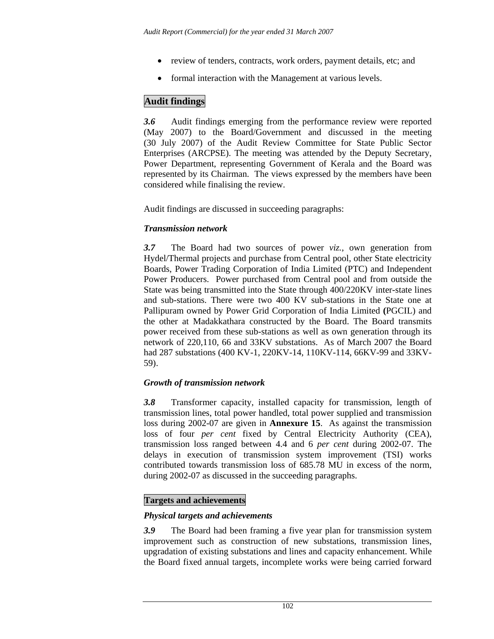- review of tenders, contracts, work orders, payment details, etc; and
- formal interaction with the Management at various levels.

# **Audit findings**

*3.6* Audit findings emerging from the performance review were reported (May 2007) to the Board/Government and discussed in the meeting (30 July 2007) of the Audit Review Committee for State Public Sector Enterprises (ARCPSE). The meeting was attended by the Deputy Secretary, Power Department, representing Government of Kerala and the Board was represented by its Chairman. The views expressed by the members have been considered while finalising the review.

Audit findings are discussed in succeeding paragraphs:

### *Transmission network*

*3.7* The Board had two sources of power *viz.,* own generation from Hydel/Thermal projects and purchase from Central pool, other State electricity Boards, Power Trading Corporation of India Limited (PTC) and Independent Power Producers. Power purchased from Central pool and from outside the State was being transmitted into the State through 400/220KV inter-state lines and sub-stations. There were two 400 KV sub-stations in the State one at Pallipuram owned by Power Grid Corporation of India Limited **(**PGCIL) and the other at Madakkathara constructed by the Board. The Board transmits power received from these sub-stations as well as own generation through its network of 220,110, 66 and 33KV substations. As of March 2007 the Board had 287 substations (400 KV-1, 220KV-14, 110KV-114, 66KV-99 and 33KV-59).

### *Growth of transmission network*

*3.8* Transformer capacity, installed capacity for transmission, length of transmission lines, total power handled, total power supplied and transmission loss during 2002-07 are given in **Annexure 15**. As against the transmission loss of four *per cent* fixed by Central Electricity Authority (CEA), transmission loss ranged between 4.4 and 6 *per cent* during 2002-07. The delays in execution of transmission system improvement (TSI) works contributed towards transmission loss of 685.78 MU in excess of the norm, during 2002-07 as discussed in the succeeding paragraphs.

### **Targets and achievements**

#### *Physical targets and achievements*

*3.9* The Board had been framing a five year plan for transmission system improvement such as construction of new substations, transmission lines, upgradation of existing substations and lines and capacity enhancement. While the Board fixed annual targets, incomplete works were being carried forward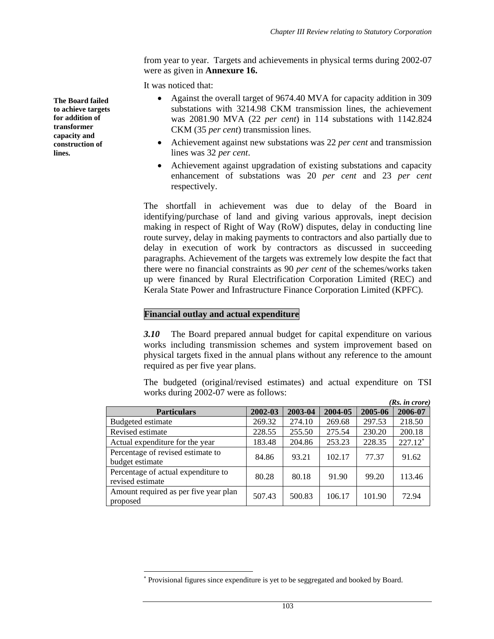from year to year. Targets and achievements in physical terms during 2002-07 were as given in **Annexure 16.** 

It was noticed that:

- Against the overall target of 9674.40 MVA for capacity addition in 309 substations with 3214.98 CKM transmission lines, the achievement was 2081.90 MVA (22 *per cent*) in 114 substations with 1142.824 CKM (35 *per cent*) transmission lines.
- Achievement against new substations was 22 *per cent* and transmission lines was 32 *per cent*.
- Achievement against upgradation of existing substations and capacity enhancement of substations was 20 *per cent* and 23 *per cent* respectively.

The shortfall in achievement was due to delay of the Board in identifying/purchase of land and giving various approvals, inept decision making in respect of Right of Way (RoW) disputes, delay in conducting line route survey, delay in making payments to contractors and also partially due to delay in execution of work by contractors as discussed in succeeding paragraphs. Achievement of the targets was extremely low despite the fact that there were no financial constraints as 90 *per cent* of the schemes/works taken up were financed by Rural Electrification Corporation Limited (REC) and Kerala State Power and Infrastructure Finance Corporation Limited (KPFC).

#### **Financial outlay and actual expenditure**

l

*3.10* The Board prepared annual budget for capital expenditure on various works including transmission schemes and system improvement based on physical targets fixed in the annual plans without any reference to the amount required as per five year plans.

The budgeted (original/revised estimates) and actual expenditure on TSI works during 2002-07 were as follows:  $(n<sub>s</sub>$ :

|                                                         |         |         |         |         | (Ks. in crore) |
|---------------------------------------------------------|---------|---------|---------|---------|----------------|
| <b>Particulars</b>                                      | 2002-03 | 2003-04 | 2004-05 | 2005-06 | 2006-07        |
| Budgeted estimate                                       | 269.32  | 274.10  | 269.68  | 297.53  | 218.50         |
| Revised estimate                                        | 228.55  | 255.50  | 275.54  | 230.20  | 200.18         |
| Actual expenditure for the year                         | 183.48  | 204.86  | 253.23  | 228.35  | $227.12*$      |
| Percentage of revised estimate to<br>budget estimate    | 84.86   | 93.21   | 102.17  | 77.37   | 91.62          |
| Percentage of actual expenditure to<br>revised estimate | 80.28   | 80.18   | 91.90   | 99.20   | 113.46         |
| Amount required as per five year plan<br>proposed       | 507.43  | 500.83  | 106.17  | 101.90  | 72.94          |

**The Board failed to achieve targets for addition of transformer capacity and construction of lines.** 

<sup>∗</sup> Provisional figures since expenditure is yet to be seggregated and booked by Board.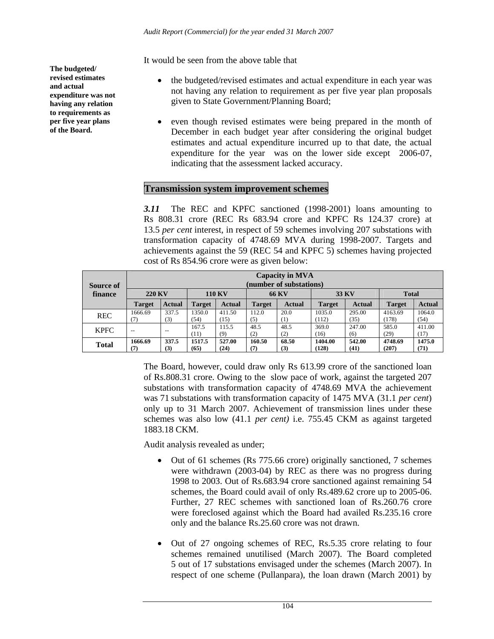It would be seen from the above table that

- the budgeted/revised estimates and actual expenditure in each year was not having any relation to requirement as per five year plan proposals given to State Government/Planning Board;
- even though revised estimates were being prepared in the month of December in each budget year after considering the original budget estimates and actual expenditure incurred up to that date, the actual expenditure for the year was on the lower side except 2006-07, indicating that the assessment lacked accuracy.

### **Transmission system improvement schemes**

*3.11* The REC and KPFC sanctioned (1998-2001) loans amounting to Rs 808.31 crore (REC Rs 683.94 crore and KPFC Rs 124.37 crore) at 13.5 *per cent* interest*,* in respect of 59 schemes involving 207 substations with transformation capacity of 4748.69 MVA during 1998-2007. Targets and achievements against the 59 (REC 54 and KPFC 5) schemes having projected cost of Rs 854.96 crore were as given below:

| <b>Source of</b> | <b>Capacity in MVA</b><br>(number of substations) |               |                |                |               |               |                  |                |                  |                |
|------------------|---------------------------------------------------|---------------|----------------|----------------|---------------|---------------|------------------|----------------|------------------|----------------|
| finance          | <b>220 KV</b>                                     |               | <b>110 KV</b>  |                | <b>66 KV</b>  |               | 33 KV            |                | <b>Total</b>     |                |
|                  | <b>Target</b>                                     | <b>Actual</b> | <b>Target</b>  | <b>Actual</b>  | <b>Target</b> | <b>Actual</b> | <b>Target</b>    | <b>Actual</b>  | <b>Target</b>    | <b>Actual</b>  |
| <b>REC</b>       | 1666.69<br>(7)                                    | 337.5<br>(3)  | 1350.0<br>(54) | 411.50<br>(15) | 112.0<br>(5)  | 20.0<br>(1)   | 1035.0<br>(112)  | 295.00<br>(35) | 4163.69<br>(178) | 1064.0<br>(54) |
| <b>KPFC</b>      | $- -$                                             | $-$           | 167.5<br>(11)  | 115.5<br>(9)   | 48.5<br>(2)   | 48.5<br>(2)   | 369.0<br>(16)    | 247.00<br>(6)  | 585.0<br>(29)    | 411.00<br>(17) |
| <b>Total</b>     | 1666.69<br>(7)                                    | 337.5<br>(3)  | 1517.5<br>(65) | 527.00<br>(24) | 160.50<br>(7) | 68.50<br>(3)  | 1404.00<br>(128) | 542.00<br>(41) | 4748.69<br>(207) | 1475.0<br>(71) |

The Board, however, could draw only Rs 613.99 crore of the sanctioned loan of Rs.808.31 crore. Owing to the slow pace of work, against the targeted 207 substations with transformation capacity of 4748.69 MVA the achievement was 71 substations with transformation capacity of 1475 MVA (31.1 *per cent*) only up to 31 March 2007. Achievement of transmission lines under these schemes was also low (41.1 *per cent)* i.e. 755.45 CKM as against targeted 1883.18 CKM.

Audit analysis revealed as under;

- Out of 61 schemes (Rs 775.66 crore) originally sanctioned, 7 schemes were withdrawn (2003-04) by REC as there was no progress during 1998 to 2003. Out of Rs.683.94 crore sanctioned against remaining 54 schemes, the Board could avail of only Rs.489.62 crore up to 2005-06. Further, 27 REC schemes with sanctioned loan of Rs.260.76 crore were foreclosed against which the Board had availed Rs.235.16 crore only and the balance Rs.25.60 crore was not drawn.
- Out of 27 ongoing schemes of REC, Rs.5.35 crore relating to four schemes remained unutilised (March 2007). The Board completed 5 out of 17 substations envisaged under the schemes (March 2007). In respect of one scheme (Pullanpara), the loan drawn (March 2001) by

**The budgeted/ revised estimates and actual expenditure was not having any relation to requirements as per five year plans of the Board.**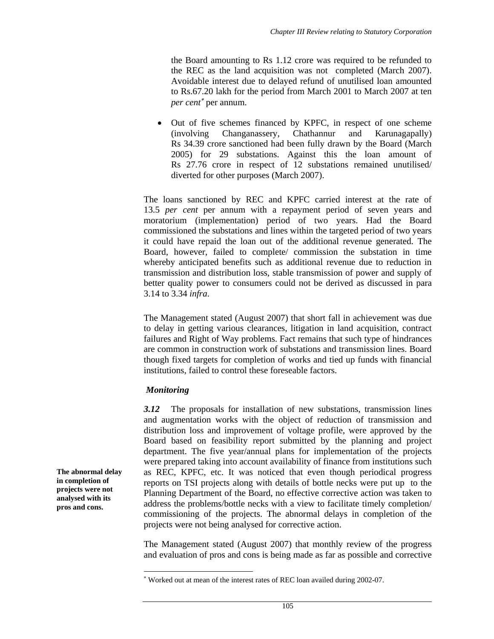the Board amounting to Rs 1.12 crore was required to be refunded to the REC as the land acquisition was not completed (March 2007). Avoidable interest due to delayed refund of unutilised loan amounted to Rs.67.20 lakh for the period from March 2001 to March 2007 at ten *per cent*<sup>∗</sup> per annum.

• Out of five schemes financed by KPFC, in respect of one scheme (involving Changanassery, Chathannur and Karunagapally) Rs 34.39 crore sanctioned had been fully drawn by the Board (March 2005) for 29 substations. Against this the loan amount of Rs 27.76 crore in respect of 12 substations remained unutilised/ diverted for other purposes (March 2007).

The loans sanctioned by REC and KPFC carried interest at the rate of 13.5 *per cent* per annum with a repayment period of seven years and moratorium (implementation) period of two years. Had the Board commissioned the substations and lines within the targeted period of two years it could have repaid the loan out of the additional revenue generated. The Board, however, failed to complete/ commission the substation in time whereby anticipated benefits such as additional revenue due to reduction in transmission and distribution loss, stable transmission of power and supply of better quality power to consumers could not be derived as discussed in para 3.14 to 3.34 *infra*.

The Management stated (August 2007) that short fall in achievement was due to delay in getting various clearances, litigation in land acquisition, contract failures and Right of Way problems. Fact remains that such type of hindrances are common in construction work of substations and transmission lines. Board though fixed targets for completion of works and tied up funds with financial institutions, failed to control these foreseable factors.

#### *Monitoring*

l

*3.12* The proposals for installation of new substations, transmission lines and augmentation works with the object of reduction of transmission and distribution loss and improvement of voltage profile, were approved by the Board based on feasibility report submitted by the planning and project department. The five year/annual plans for implementation of the projects were prepared taking into account availability of finance from institutions such as REC, KPFC, etc. It was noticed that even though periodical progress reports on TSI projects along with details of bottle necks were put up to the Planning Department of the Board, no effective corrective action was taken to address the problems/bottle necks with a view to facilitate timely completion/ commissioning of the projects. The abnormal delays in completion of the projects were not being analysed for corrective action.

The Management stated (August 2007) that monthly review of the progress and evaluation of pros and cons is being made as far as possible and corrective

**The abnormal delay in completion of projects were not analysed with its pros and cons.** 

<sup>∗</sup> Worked out at mean of the interest rates of REC loan availed during 2002-07.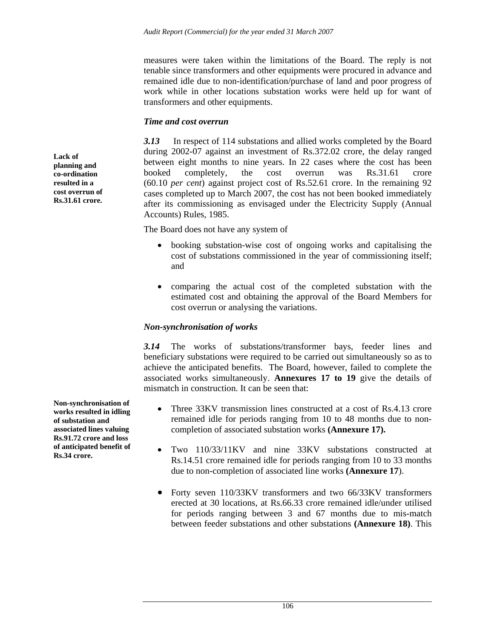measures were taken within the limitations of the Board. The reply is not tenable since transformers and other equipments were procured in advance and remained idle due to non-identification/purchase of land and poor progress of work while in other locations substation works were held up for want of transformers and other equipments.

### *Time and cost overrun*

*3.13* In respect of 114 substations and allied works completed by the Board during 2002-07 against an investment of Rs.372.02 crore, the delay ranged between eight months to nine years. In 22 cases where the cost has been booked completely, the cost overrun was Rs.31.61 crore (60.10 *per cent*) against project cost of Rs.52.61 crore. In the remaining 92 cases completed up to March 2007, the cost has not been booked immediately after its commissioning as envisaged under the Electricity Supply (Annual Accounts) Rules, 1985.

The Board does not have any system of

- booking substation-wise cost of ongoing works and capitalising the cost of substations commissioned in the year of commissioning itself; and
- comparing the actual cost of the completed substation with the estimated cost and obtaining the approval of the Board Members for cost overrun or analysing the variations.

### *Non-synchronisation of works*

*3.14* The works of substations/transformer bays, feeder lines and beneficiary substations were required to be carried out simultaneously so as to achieve the anticipated benefits. The Board, however, failed to complete the associated works simultaneously. **Annexures 17 to 19** give the details of mismatch in construction. It can be seen that:

- Three 33KV transmission lines constructed at a cost of Rs.4.13 crore remained idle for periods ranging from 10 to 48 months due to noncompletion of associated substation works **(Annexure 17).**
- Two 110/33/11KV and nine 33KV substations constructed at Rs.14.51 crore remained idle for periods ranging from 10 to 33 months due to non-completion of associated line works **(Annexure 17**).
- Forty seven 110/33KV transformers and two 66/33KV transformers erected at 30 locations, at Rs.66.33 crore remained idle/under utilised for periods ranging between 3 and 67 months due to mis-match between feeder substations and other substations **(Annexure 18)**. This

**planning and co-ordination resulted in a cost overrun of Rs.31.61 crore.** 

**Lack of** 

**Non-synchronisation of works resulted in idling of substation and associated lines valuing Rs.91.72 crore and loss of anticipated benefit of Rs.34 crore.**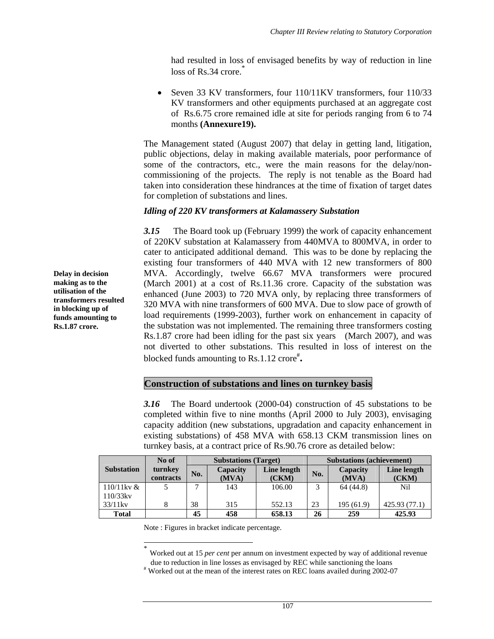had resulted in loss of envisaged benefits by way of reduction in line  $loss$  of  $Rs.34$  crore.<sup>\*</sup>

Seven 33 KV transformers, four 110/11KV transformers, four 110/33 KV transformers and other equipments purchased at an aggregate cost of Rs.6.75 crore remained idle at site for periods ranging from 6 to 74 months **(Annexure19).**

The Management stated (August 2007) that delay in getting land, litigation, public objections, delay in making available materials, poor performance of some of the contractors, etc., were the main reasons for the delay/noncommissioning of the projects. The reply is not tenable as the Board had taken into consideration these hindrances at the time of fixation of target dates for completion of substations and lines.

#### *Idling of 220 KV transformers at Kalamassery Substation*

*3.15* The Board took up (February 1999) the work of capacity enhancement of 220KV substation at Kalamassery from 440MVA to 800MVA, in order to cater to anticipated additional demand. This was to be done by replacing the existing four transformers of 440 MVA with 12 new transformers of 800 MVA. Accordingly, twelve 66.67 MVA transformers were procured (March 2001) at a cost of Rs.11.36 crore. Capacity of the substation was enhanced (June 2003) to 720 MVA only, by replacing three transformers of 320 MVA with nine transformers of 600 MVA. Due to slow pace of growth of load requirements (1999-2003), further work on enhancement in capacity of the substation was not implemented. The remaining three transformers costing Rs.1.87 crore had been idling for the past six years (March 2007), and was not diverted to other substations. This resulted in loss of interest on the blocked funds amounting to Rs.1.12 crore<sup>#</sup>.

### **Construction of substations and lines on turnkey basis**

*3.16* The Board undertook (2000-04) construction of 45 substations to be completed within five to nine months (April 2000 to July 2003), envisaging capacity addition (new substations, upgradation and capacity enhancement in existing substations) of 458 MVA with 658.13 CKM transmission lines on turnkey basis, at a contract price of Rs.90.76 crore as detailed below:

|                   | No of                |     | <b>Substations (Target)</b> |                      | <b>Substations (achievement)</b> |                   |                      |  |
|-------------------|----------------------|-----|-----------------------------|----------------------|----------------------------------|-------------------|----------------------|--|
| <b>Substation</b> | turnkey<br>contracts | No. | Capacity<br>(MVA)           | Line length<br>(CKM) | No.                              | Capacity<br>(MVA) | Line length<br>(CKM) |  |
| $110/11$ kv &     |                      |     | 143                         | 106.00               |                                  | 64(44.8)          | <b>Nil</b>           |  |
| $110/33$ kv       |                      |     |                             |                      |                                  |                   |                      |  |
| $33/11$ kv        |                      | 38  | 315                         | 552.13               | 23                               | 195(61.9)         | 425.93 (77.1)        |  |
| <b>Total</b>      |                      | 45  | 458                         | 658.13               | 26                               | 259               | 425.93               |  |

Note : Figures in bracket indicate percentage.

 $\overline{a}$ 

Worked out at 15 *per cent* per annum on investment expected by way of additional revenue due to reduction in line losses as envisaged by REC while sanctioning the loans

# Worked out at the mean of the interest rates on REC loans availed during 2002-07

**Delay in decision making as to the utilisation of the transformers resulted in blocking up of funds amounting to Rs.1.87 crore.**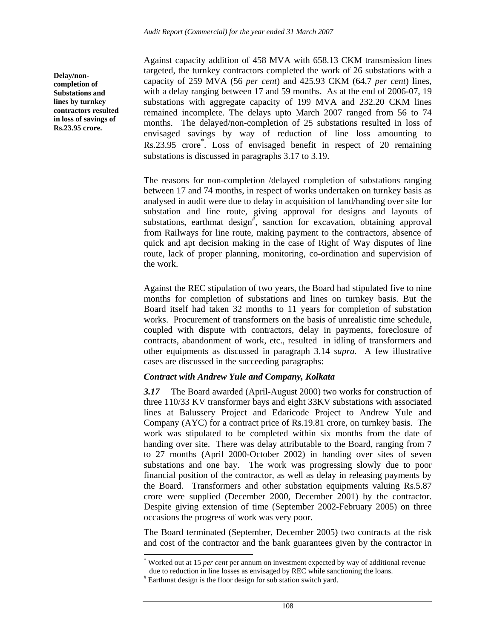Against capacity addition of 458 MVA with 658.13 CKM transmission lines targeted, the turnkey contractors completed the work of 26 substations with a capacity of 259 MVA (56 *per cent*) and 425.93 CKM (64.7 *per cent*) lines, with a delay ranging between 17 and 59 months. As at the end of 2006-07, 19 substations with aggregate capacity of 199 MVA and 232.20 CKM lines remained incomplete. The delays upto March 2007 ranged from 56 to 74 months. The delayed/non-completion of 25 substations resulted in loss of envisaged savings by way of reduction of line loss amounting to Rs.23.95 crore<sup>\*</sup>. Loss of envisaged benefit in respect of 20 remaining substations is discussed in paragraphs 3.17 to 3.19.

The reasons for non-completion /delayed completion of substations ranging between 17 and 74 months, in respect of works undertaken on turnkey basis as analysed in audit were due to delay in acquisition of land/handing over site for substation and line route, giving approval for designs and layouts of substations, earthmat design<sup>#</sup>, sanction for excavation, obtaining approval from Railways for line route, making payment to the contractors, absence of quick and apt decision making in the case of Right of Way disputes of line route, lack of proper planning, monitoring, co-ordination and supervision of the work.

Against the REC stipulation of two years, the Board had stipulated five to nine months for completion of substations and lines on turnkey basis. But the Board itself had taken 32 months to 11 years for completion of substation works. Procurement of transformers on the basis of unrealistic time schedule, coupled with dispute with contractors, delay in payments, foreclosure of contracts, abandonment of work, etc., resulted in idling of transformers and other equipments as discussed in paragraph 3.14 *supra.* A few illustrative cases are discussed in the succeeding paragraphs:

#### *Contract with Andrew Yule and Company, Kolkata*

*3.17* The Board awarded (April-August 2000) two works for construction of three 110/33 KV transformer bays and eight 33KV substations with associated lines at Balussery Project and Edaricode Project to Andrew Yule and Company (AYC) for a contract price of Rs.19.81 crore, on turnkey basis. The work was stipulated to be completed within six months from the date of handing over site. There was delay attributable to the Board, ranging from 7 to 27 months (April 2000-October 2002) in handing over sites of seven substations and one bay. The work was progressing slowly due to poor financial position of the contractor, as well as delay in releasing payments by the Board. Transformers and other substation equipments valuing Rs.5.87 crore were supplied (December 2000, December 2001) by the contractor. Despite giving extension of time (September 2002-February 2005) on three occasions the progress of work was very poor.

The Board terminated (September, December 2005) two contracts at the risk and cost of the contractor and the bank guarantees given by the contractor in

l

**Delay/noncompletion of Substations and lines by turnkey contractors resulted in loss of savings of Rs.23.95 crore.** 

<sup>\*</sup> Worked out at 15 *per cent* per annum on investment expected by way of additional revenue due to reduction in line losses as envisaged by REC while sanctioning the loans.

<sup>#</sup> Earthmat design is the floor design for sub station switch yard.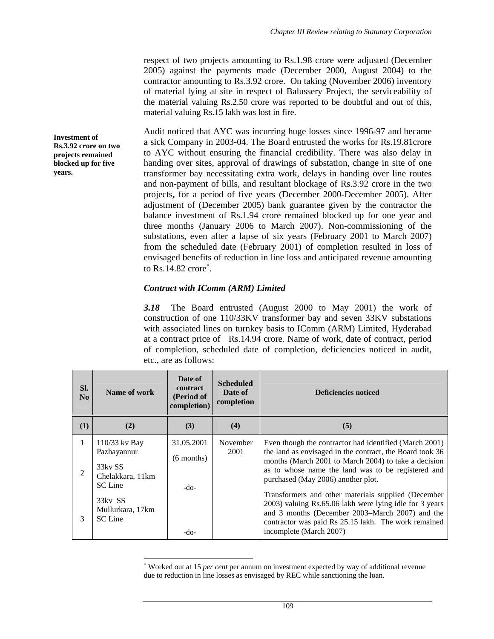respect of two projects amounting to Rs.1.98 crore were adjusted (December 2005) against the payments made (December 2000, August 2004) to the contractor amounting to Rs.3.92 crore. On taking (November 2006) inventory of material lying at site in respect of Balussery Project, the serviceability of the material valuing Rs.2.50 crore was reported to be doubtful and out of this, material valuing Rs.15 lakh was lost in fire.

Audit noticed that AYC was incurring huge losses since 1996-97 and became a sick Company in 2003-04. The Board entrusted the works for Rs.19.81crore to AYC without ensuring the financial credibility. There was also delay in handing over sites, approval of drawings of substation, change in site of one transformer bay necessitating extra work, delays in handing over line routes and non-payment of bills, and resultant blockage of Rs.3.92 crore in the two projects**,** for a period of five years (December 2000-December 2005). After adjustment of (December 2005) bank guarantee given by the contractor the balance investment of Rs.1.94 crore remained blocked up for one year and three months (January 2006 to March 2007). Non-commissioning of the substations, even after a lapse of six years (February 2001 to March 2007) from the scheduled date (February 2001) of completion resulted in loss of envisaged benefits of reduction in line loss and anticipated revenue amounting to  $Rs.14.82$  crore $\degree$ .

### *Contract with IComm (ARM) Limited*

l

*3.18* The Board entrusted (August 2000 to May 2001) the work of construction of one 110/33KV transformer bay and seven 33KV substations with associated lines on turnkey basis to IComm (ARM) Limited, Hyderabad at a contract price of Rs.14.94 crore. Name of work, date of contract, period of completion, scheduled date of completion, deficiencies noticed in audit, etc., are as follows:

| Sl.<br>$\mathbf{N}\mathbf{0}$ | Name of work                                                                    | Date of<br><b>contract</b><br>(Period of<br>completion) | <b>Scheduled</b><br>Date of<br>completion | Deficiencies noticed                                                                                                                                                                                                                                                   |
|-------------------------------|---------------------------------------------------------------------------------|---------------------------------------------------------|-------------------------------------------|------------------------------------------------------------------------------------------------------------------------------------------------------------------------------------------------------------------------------------------------------------------------|
| (1)                           | (2)                                                                             | (3)                                                     | (4)                                       | (5)                                                                                                                                                                                                                                                                    |
| 1<br>2                        | $110/33$ kv Bay<br>Pazhayannur<br>33ky SS<br>Chelakkara, 11km<br><b>SC</b> Line | 31.05.2001<br>$(6$ months)<br>-do-                      | November<br>2001                          | Even though the contractor had identified (March 2001)<br>the land as envisaged in the contract, the Board took 36<br>months (March 2001 to March 2004) to take a decision<br>as to whose name the land was to be registered and<br>purchased (May 2006) another plot. |
| $\mathcal{R}$                 | 33kv SS<br>Mullurkara, 17km<br><b>SC</b> Line                                   | -do-                                                    |                                           | Transformers and other materials supplied (December<br>2003) valuing Rs.65.06 lakh were lying idle for 3 years<br>and 3 months (December 2003–March 2007) and the<br>contractor was paid Rs 25.15 lakh. The work remained<br>incomplete (March 2007)                   |

<sup>∗</sup> Worked out at 15 *per cent* per annum on investment expected by way of additional revenue due to reduction in line losses as envisaged by REC while sanctioning the loan.

**Investment of Rs.3.92 crore on two projects remained blocked up for five years.**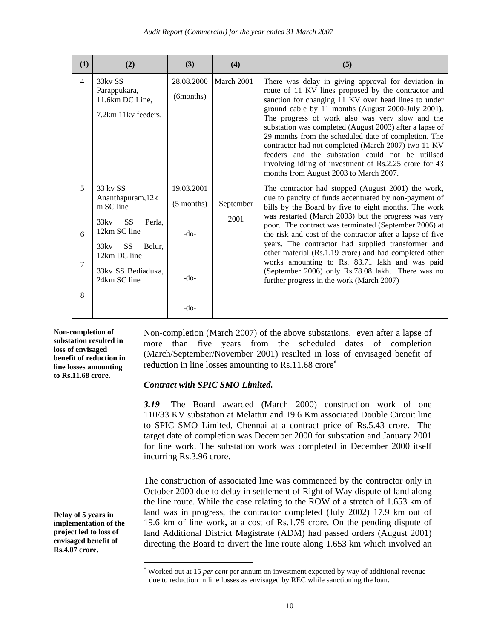| (1)              | (2)                                                                                                                                                                             | (3)                                        | (4)               | (5)                                                                                                                                                                                                                                                                                                                                                                                                                                                                                                                                                                                                                   |
|------------------|---------------------------------------------------------------------------------------------------------------------------------------------------------------------------------|--------------------------------------------|-------------------|-----------------------------------------------------------------------------------------------------------------------------------------------------------------------------------------------------------------------------------------------------------------------------------------------------------------------------------------------------------------------------------------------------------------------------------------------------------------------------------------------------------------------------------------------------------------------------------------------------------------------|
| $\overline{4}$   | 33kv SS<br>Parappukara,<br>11.6km DC Line,<br>7.2km 11kv feeders.                                                                                                               | 28.08.2000<br>(6months)                    | March 2001        | There was delay in giving approval for deviation in<br>route of 11 KV lines proposed by the contractor and<br>sanction for changing 11 KV over head lines to under<br>ground cable by 11 months (August 2000-July 2001).<br>The progress of work also was very slow and the<br>substation was completed (August 2003) after a lapse of<br>29 months from the scheduled date of completion. The<br>contractor had not completed (March 2007) two 11 KV<br>feeders and the substation could not be utilised<br>involving idling of investment of Rs.2.25 crore for 43<br>months from August 2003 to March 2007.         |
| 5<br>6<br>7<br>8 | 33 kv SS<br>Ananthapuram, 12k<br>m SC line<br>33ky<br><b>SS</b><br>Perla.<br>12km SC line<br><b>SS</b><br>33kv<br>Belur,<br>12km DC line<br>33 kv SS Bediaduka.<br>24km SC line | 19.03.2001<br>$(5$ months)<br>-do-<br>-do- | September<br>2001 | The contractor had stopped (August 2001) the work,<br>due to paucity of funds accentuated by non-payment of<br>bills by the Board by five to eight months. The work<br>was restarted (March 2003) but the progress was very<br>poor. The contract was terminated (September 2006) at<br>the risk and cost of the contractor after a lapse of five<br>years. The contractor had supplied transformer and<br>other material (Rs.1.19 crore) and had completed other<br>works amounting to Rs. 83.71 lakh and was paid<br>(September 2006) only Rs.78.08 lakh. There was no<br>further progress in the work (March 2007) |
|                  |                                                                                                                                                                                 | -do-                                       |                   |                                                                                                                                                                                                                                                                                                                                                                                                                                                                                                                                                                                                                       |

**Non-completion of substation resulted in loss of envisaged benefit of reduction in line losses amounting to Rs.11.68 crore.** 

**Delay of 5 years in implementation of the project led to loss of envisaged benefit of Rs.4.07 crore.** 

l

Non-completion (March 2007) of the above substations, even after a lapse of more than five years from the scheduled dates of completion (March/September/November 2001) resulted in loss of envisaged benefit of reduction in line losses amounting to Rs.11.68 crore<sup>\*</sup>

#### *Contract with SPIC SMO Limited.*

*3.19* The Board awarded (March 2000) construction work of one 110/33 KV substation at Melattur and 19.6 Km associated Double Circuit line to SPIC SMO Limited, Chennai at a contract price of Rs.5.43 crore. The target date of completion was December 2000 for substation and January 2001 for line work. The substation work was completed in December 2000 itself incurring Rs.3.96 crore.

The construction of associated line was commenced by the contractor only in October 2000 due to delay in settlement of Right of Way dispute of land along the line route. While the case relating to the ROW of a stretch of 1.653 km of land was in progress, the contractor completed (July 2002) 17.9 km out of 19.6 km of line work**,** at a cost of Rs.1.79 crore. On the pending dispute of land Additional District Magistrate (ADM) had passed orders (August 2001) directing the Board to divert the line route along 1.653 km which involved an

<sup>∗</sup> Worked out at 15 *per cent* per annum on investment expected by way of additional revenue due to reduction in line losses as envisaged by REC while sanctioning the loan.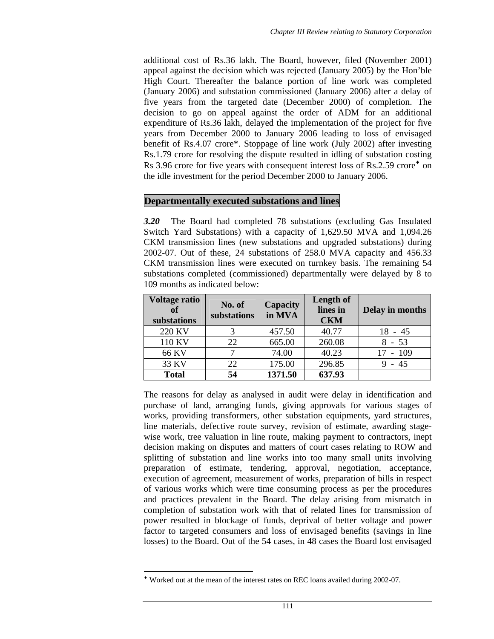additional cost of Rs.36 lakh. The Board, however, filed (November 2001) appeal against the decision which was rejected (January 2005) by the Hon'ble High Court. Thereafter the balance portion of line work was completed (January 2006) and substation commissioned (January 2006) after a delay of five years from the targeted date (December 2000) of completion. The decision to go on appeal against the order of ADM for an additional expenditure of Rs.36 lakh, delayed the implementation of the project for five years from December 2000 to January 2006 leading to loss of envisaged benefit of Rs.4.07 crore\*. Stoppage of line work (July 2002) after investing Rs.1.79 crore for resolving the dispute resulted in idling of substation costing Rs 3.96 crore for five years with consequent interest loss of Rs.2.59 crore<sup> $\bullet$ </sup> on the idle investment for the period December 2000 to January 2006.

#### **Departmentally executed substations and lines**

*3.20* The Board had completed 78 substations (excluding Gas Insulated Switch Yard Substations) with a capacity of 1,629.50 MVA and 1,094.26 CKM transmission lines (new substations and upgraded substations) during 2002-07. Out of these, 24 substations of 258.0 MVA capacity and 456.33 CKM transmission lines were executed on turnkey basis. The remaining 54 substations completed (commissioned) departmentally were delayed by 8 to 109 months as indicated below:

| <b>Voltage ratio</b><br>of<br>substations | No. of<br>substations | <b>Capacity</b><br>in MVA | Length of<br>lines in<br><b>CKM</b> | Delay in months |
|-------------------------------------------|-----------------------|---------------------------|-------------------------------------|-----------------|
| 220 KV                                    |                       | 457.50                    | 40.77                               | $18 - 45$       |
| 110 KV                                    | 22                    | 665.00                    | 260.08                              | $8 - 53$        |
| 66 KV                                     |                       | 74.00                     | 40.23                               | $17 - 109$      |
| 33 KV                                     | 22                    | 175.00                    | 296.85                              | 45              |
| <b>Total</b>                              | 54                    | 1371.50                   | 637.93                              |                 |

The reasons for delay as analysed in audit were delay in identification and purchase of land, arranging funds, giving approvals for various stages of works, providing transformers, other substation equipments, yard structures, line materials, defective route survey, revision of estimate, awarding stagewise work, tree valuation in line route, making payment to contractors, inept decision making on disputes and matters of court cases relating to ROW and splitting of substation and line works into too many small units involving preparation of estimate, tendering, approval, negotiation, acceptance, execution of agreement, measurement of works, preparation of bills in respect of various works which were time consuming process as per the procedures and practices prevalent in the Board. The delay arising from mismatch in completion of substation work with that of related lines for transmission of power resulted in blockage of funds, deprival of better voltage and power factor to targeted consumers and loss of envisaged benefits (savings in line losses) to the Board. Out of the 54 cases, in 48 cases the Board lost envisaged

<sup>♦</sup> Worked out at the mean of the interest rates on REC loans availed during 2002-07.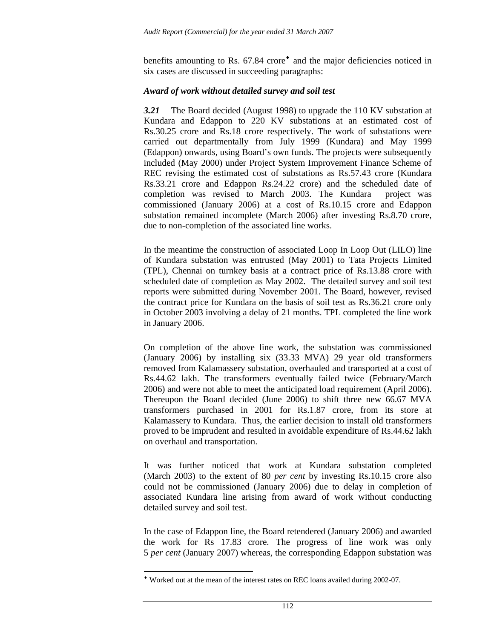benefits amounting to Rs. 67.84 crore<sup>•</sup> and the major deficiencies noticed in six cases are discussed in succeeding paragraphs:

#### *Award of work without detailed survey and soil test*

*3.21* The Board decided (August 1998) to upgrade the 110 KV substation at Kundara and Edappon to 220 KV substations at an estimated cost of Rs.30.25 crore and Rs.18 crore respectively. The work of substations were carried out departmentally from July 1999 (Kundara) and May 1999 (Edappon) onwards, using Board's own funds. The projects were subsequently included (May 2000) under Project System Improvement Finance Scheme of REC revising the estimated cost of substations as Rs.57.43 crore (Kundara Rs.33.21 crore and Edappon Rs.24.22 crore) and the scheduled date of completion was revised to March 2003. The Kundara project was commissioned (January 2006) at a cost of Rs.10.15 crore and Edappon substation remained incomplete (March 2006) after investing Rs.8.70 crore, due to non-completion of the associated line works.

In the meantime the construction of associated Loop In Loop Out (LILO) line of Kundara substation was entrusted (May 2001) to Tata Projects Limited (TPL), Chennai on turnkey basis at a contract price of Rs.13.88 crore with scheduled date of completion as May 2002. The detailed survey and soil test reports were submitted during November 2001. The Board, however, revised the contract price for Kundara on the basis of soil test as Rs.36.21 crore only in October 2003 involving a delay of 21 months. TPL completed the line work in January 2006.

On completion of the above line work, the substation was commissioned (January 2006) by installing six (33.33 MVA) 29 year old transformers removed from Kalamassery substation, overhauled and transported at a cost of Rs.44.62 lakh. The transformers eventually failed twice (February/March 2006) and were not able to meet the anticipated load requirement (April 2006). Thereupon the Board decided (June 2006) to shift three new 66.67 MVA transformers purchased in 2001 for Rs.1.87 crore, from its store at Kalamassery to Kundara. Thus, the earlier decision to install old transformers proved to be imprudent and resulted in avoidable expenditure of Rs.44.62 lakh on overhaul and transportation.

It was further noticed that work at Kundara substation completed (March 2003) to the extent of 80 *per cent* by investing Rs.10.15 crore also could not be commissioned (January 2006) due to delay in completion of associated Kundara line arising from award of work without conducting detailed survey and soil test.

In the case of Edappon line, the Board retendered (January 2006) and awarded the work for Rs 17.83 crore. The progress of line work was only 5 *per cent* (January 2007) whereas, the corresponding Edappon substation was

<sup>♦</sup> Worked out at the mean of the interest rates on REC loans availed during 2002-07.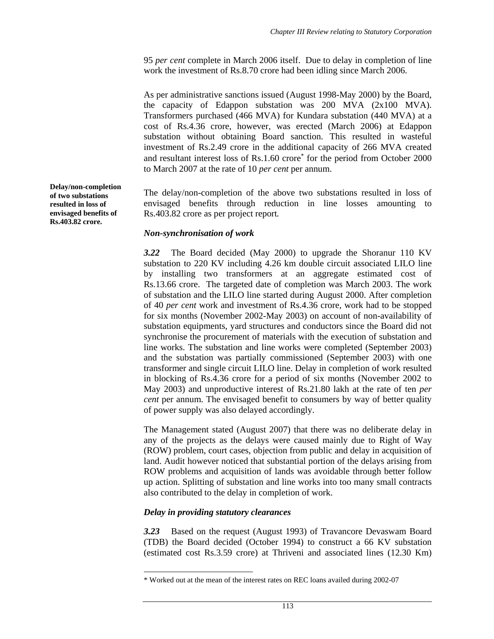95 *per cent* complete in March 2006 itself. Due to delay in completion of line work the investment of Rs.8.70 crore had been idling since March 2006.

As per administrative sanctions issued (August 1998-May 2000) by the Board, the capacity of Edappon substation was 200 MVA (2x100 MVA). Transformers purchased (466 MVA) for Kundara substation (440 MVA) at a cost of Rs.4.36 crore, however, was erected (March 2006) at Edappon substation without obtaining Board sanction. This resulted in wasteful investment of Rs.2.49 crore in the additional capacity of 266 MVA created and resultant interest loss of Rs.1.60 crore<sup>\*</sup> for the period from October 2000 to March 2007 at the rate of 10 *per cent* per annum.

The delay/non-completion of the above two substations resulted in loss of envisaged benefits through reduction in line losses amounting to Rs.403.82 crore as per project report*.* 

#### *Non-synchronisation of work*

*3.22* The Board decided (May 2000) to upgrade the Shoranur 110 KV substation to 220 KV including 4.26 km double circuit associated LILO line by installing two transformers at an aggregate estimated cost of Rs.13.66 crore. The targeted date of completion was March 2003. The work of substation and the LILO line started during August 2000. After completion of 40 *per cent* work and investment of Rs.4.36 crore, work had to be stopped for six months (November 2002-May 2003) on account of non-availability of substation equipments, yard structures and conductors since the Board did not synchronise the procurement of materials with the execution of substation and line works. The substation and line works were completed (September 2003) and the substation was partially commissioned (September 2003) with one transformer and single circuit LILO line. Delay in completion of work resulted in blocking of Rs.4.36 crore for a period of six months (November 2002 to May 2003) and unproductive interest of Rs.21.80 lakh at the rate of ten *per cent* per annum. The envisaged benefit to consumers by way of better quality of power supply was also delayed accordingly.

The Management stated (August 2007) that there was no deliberate delay in any of the projects as the delays were caused mainly due to Right of Way (ROW) problem, court cases, objection from public and delay in acquisition of land. Audit however noticed that substantial portion of the delays arising from ROW problems and acquisition of lands was avoidable through better follow up action. Splitting of substation and line works into too many small contracts also contributed to the delay in completion of work.

#### *Delay in providing statutory clearances*

l

*3.23* Based on the request (August 1993) of Travancore Devaswam Board (TDB) the Board decided (October 1994) to construct a 66 KV substation (estimated cost Rs.3.59 crore) at Thriveni and associated lines (12.30 Km)

**Delay/non-completion of two substations resulted in loss of envisaged benefits of Rs.403.82 crore.** 

<sup>\*</sup> Worked out at the mean of the interest rates on REC loans availed during 2002-07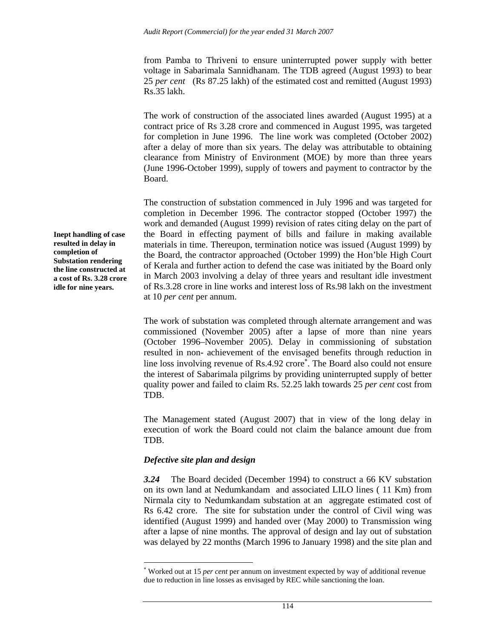from Pamba to Thriveni to ensure uninterrupted power supply with better voltage in Sabarimala Sannidhanam. The TDB agreed (August 1993) to bear 25 *per cent* (Rs 87.25 lakh) of the estimated cost and remitted (August 1993) Rs.35 lakh.

The work of construction of the associated lines awarded (August 1995) at a contract price of Rs 3.28 crore and commenced in August 1995, was targeted for completion in June 1996. The line work was completed (October 2002) after a delay of more than six years. The delay was attributable to obtaining clearance from Ministry of Environment (MOE) by more than three years (June 1996-October 1999), supply of towers and payment to contractor by the Board.

The construction of substation commenced in July 1996 and was targeted for completion in December 1996. The contractor stopped (October 1997) the work and demanded (August 1999) revision of rates citing delay on the part of the Board in effecting payment of bills and failure in making available materials in time. Thereupon, termination notice was issued (August 1999) by the Board, the contractor approached (October 1999) the Hon'ble High Court of Kerala and further action to defend the case was initiated by the Board only in March 2003 involving a delay of three years and resultant idle investment of Rs.3.28 crore in line works and interest loss of Rs.98 lakh on the investment at 10 *per cent* per annum.

The work of substation was completed through alternate arrangement and was commissioned (November 2005) after a lapse of more than nine years (October 1996–November 2005). Delay in commissioning of substation resulted in non- achievement of the envisaged benefits through reduction in line loss involving revenue of Rs.4.92 crore<sup>∗</sup>. The Board also could not ensure the interest of Sabarimala pilgrims by providing uninterrupted supply of better quality power and failed to claim Rs. 52.25 lakh towards 25 *per cent* cost from TDB.

The Management stated (August 2007) that in view of the long delay in execution of work the Board could not claim the balance amount due from TDB.

#### *Defective site plan and design*

l

*3.24* The Board decided (December 1994) to construct a 66 KV substation on its own land at Nedumkandam and associated LILO lines ( 11 Km) from Nirmala city to Nedumkandam substation at an aggregate estimated cost of Rs 6.42 crore. The site for substation under the control of Civil wing was identified (August 1999) and handed over (May 2000) to Transmission wing after a lapse of nine months. The approval of design and lay out of substation was delayed by 22 months (March 1996 to January 1998) and the site plan and

**Inept handling of case resulted in delay in completion of Substation rendering the line constructed at a cost of Rs. 3.28 crore idle for nine years.** 

<sup>∗</sup> Worked out at 15 *per cent* per annum on investment expected by way of additional revenue due to reduction in line losses as envisaged by REC while sanctioning the loan.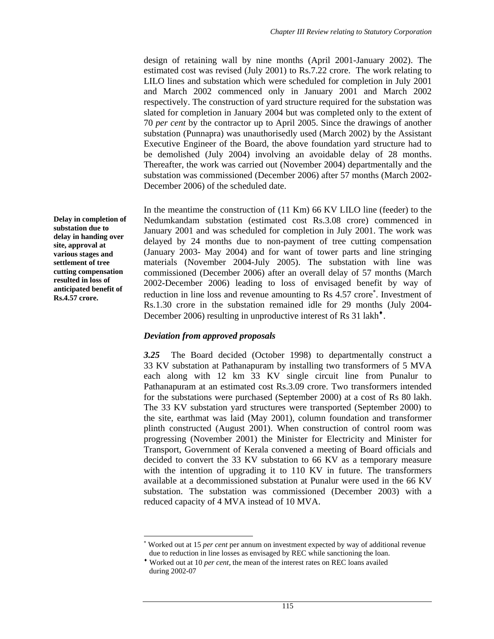design of retaining wall by nine months (April 2001-January 2002). The estimated cost was revised (July 2001) to Rs.7.22 crore. The work relating to LILO lines and substation which were scheduled for completion in July 2001 and March 2002 commenced only in January 2001 and March 2002 respectively. The construction of yard structure required for the substation was slated for completion in January 2004 but was completed only to the extent of 70 *per cent* by the contractor up to April 2005. Since the drawings of another substation (Punnapra) was unauthorisedly used (March 2002) by the Assistant Executive Engineer of the Board, the above foundation yard structure had to be demolished (July 2004) involving an avoidable delay of 28 months. Thereafter, the work was carried out (November 2004) departmentally and the substation was commissioned (December 2006) after 57 months (March 2002- December 2006) of the scheduled date.

In the meantime the construction of (11 Km) 66 KV LILO line (feeder) to the Nedumkandam substation (estimated cost Rs.3.08 crore) commenced in January 2001 and was scheduled for completion in July 2001. The work was delayed by 24 months due to non-payment of tree cutting compensation (January 2003- May 2004) and for want of tower parts and line stringing materials (November 2004-July 2005). The substation with line was commissioned (December 2006) after an overall delay of 57 months (March 2002-December 2006) leading to loss of envisaged benefit by way of reduction in line loss and revenue amounting to Rs 4.57 crore<sup>\*</sup>. Investment of Rs.1.30 crore in the substation remained idle for 29 months (July 2004- December 2006) resulting in unproductive interest of Rs 31 lakh<sup> $\cdot$ </sup>.

#### *Deviation from approved proposals*

 $\overline{a}$ 

*3.25* The Board decided (October 1998) to departmentally construct a 33 KV substation at Pathanapuram by installing two transformers of 5 MVA each along with 12 km 33 KV single circuit line from Punalur to Pathanapuram at an estimated cost Rs.3.09 crore. Two transformers intended for the substations were purchased (September 2000) at a cost of Rs 80 lakh. The 33 KV substation yard structures were transported (September 2000) to the site, earthmat was laid (May 2001), column foundation and transformer plinth constructed (August 2001). When construction of control room was progressing (November 2001) the Minister for Electricity and Minister for Transport, Government of Kerala convened a meeting of Board officials and decided to convert the 33 KV substation to 66 KV as a temporary measure with the intention of upgrading it to 110 KV in future. The transformers available at a decommissioned substation at Punalur were used in the 66 KV substation. The substation was commissioned (December 2003) with a reduced capacity of 4 MVA instead of 10 MVA.

**Delay in completion of substation due to delay in handing over site, approval at various stages and settlement of tree cutting compensation resulted in loss of anticipated benefit of Rs.4.57 crore.** 

<sup>∗</sup> Worked out at 15 *per cent* per annum on investment expected by way of additional revenue due to reduction in line losses as envisaged by REC while sanctioning the loan.

<sup>♦</sup> Worked out at 10 *per cent,* the mean of the interest rates on REC loans availed during 2002-07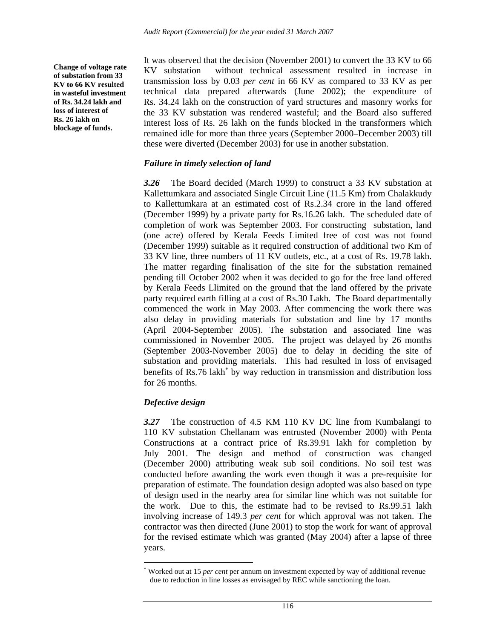**Change of voltage rate of substation from 33 KV to 66 KV resulted in wasteful investment of Rs. 34.24 lakh and loss of interest of Rs. 26 lakh on blockage of funds.** 

It was observed that the decision (November 2001) to convert the 33 KV to 66 KV substation without technical assessment resulted in increase in transmission loss by 0.03 *per cent* in 66 KV as compared to 33 KV as per technical data prepared afterwards (June 2002); the expenditure of Rs. 34.24 lakh on the construction of yard structures and masonry works for the 33 KV substation was rendered wasteful; and the Board also suffered interest loss of Rs. 26 lakh on the funds blocked in the transformers which remained idle for more than three years (September 2000–December 2003) till these were diverted (December 2003) for use in another substation.

### *Failure in timely selection of land*

*3.26* The Board decided (March 1999) to construct a 33 KV substation at Kallettumkara and associated Single Circuit Line (11.5 Km) from Chalakkudy to Kallettumkara at an estimated cost of Rs.2.34 crore in the land offered (December 1999) by a private party for Rs.16.26 lakh. The scheduled date of completion of work was September 2003. For constructing substation, land (one acre) offered by Kerala Feeds Limited free of cost was not found (December 1999) suitable as it required construction of additional two Km of 33 KV line, three numbers of 11 KV outlets, etc., at a cost of Rs. 19.78 lakh. The matter regarding finalisation of the site for the substation remained pending till October 2002 when it was decided to go for the free land offered by Kerala Feeds Llimited on the ground that the land offered by the private party required earth filling at a cost of Rs.30 Lakh. The Board departmentally commenced the work in May 2003. After commencing the work there was also delay in providing materials for substation and line by 17 months (April 2004-September 2005). The substation and associated line was commissioned in November 2005. The project was delayed by 26 months (September 2003-November 2005) due to delay in deciding the site of substation and providing materials. This had resulted in loss of envisaged benefits of Rs.76 lakh<sup>\*</sup> by way reduction in transmission and distribution loss for 26 months.

#### *Defective design*

l

*3.27* The construction of 4.5 KM 110 KV DC line from Kumbalangi to 110 KV substation Chellanam was entrusted (November 2000) with Penta Constructions at a contract price of Rs.39.91 lakh for completion by July 2001. The design and method of construction was changed (December 2000) attributing weak sub soil conditions. No soil test was conducted before awarding the work even though it was a pre-requisite for preparation of estimate. The foundation design adopted was also based on type of design used in the nearby area for similar line which was not suitable for the work. Due to this, the estimate had to be revised to Rs.99.51 lakh involving increase of 149.3 *per cent* for which approval was not taken. The contractor was then directed (June 2001) to stop the work for want of approval for the revised estimate which was granted (May 2004) after a lapse of three years.

<sup>∗</sup> Worked out at 15 *per cent* per annum on investment expected by way of additional revenue due to reduction in line losses as envisaged by REC while sanctioning the loan.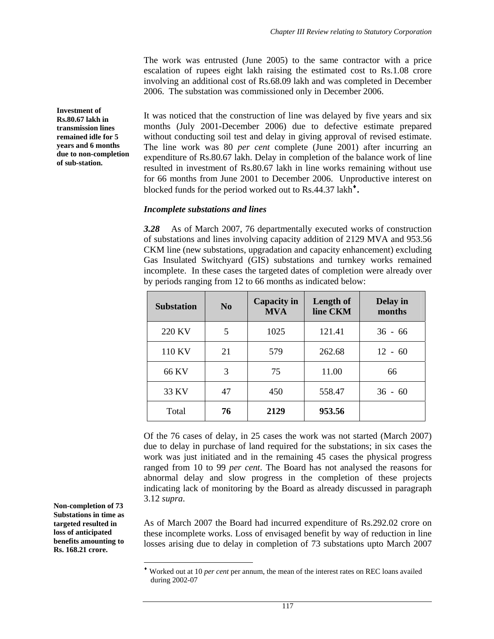The work was entrusted (June 2005) to the same contractor with a price escalation of rupees eight lakh raising the estimated cost to Rs.1.08 crore involving an additional cost of Rs.68.09 lakh and was completed in December 2006. The substation was commissioned only in December 2006.

It was noticed that the construction of line was delayed by five years and six months (July 2001-December 2006) due to defective estimate prepared without conducting soil test and delay in giving approval of revised estimate. The line work was 80 *per cent* complete (June 2001) after incurring an expenditure of Rs.80.67 lakh. Delay in completion of the balance work of line resulted in investment of Rs.80.67 lakh in line works remaining without use for 66 months from June 2001 to December 2006.Unproductive interest on blocked funds for the period worked out to Rs.44.37 lakh<sup> $\cdot$ </sup>.

#### *Incomplete substations and lines*

*3.28* As of March 2007, 76 departmentally executed works of construction of substations and lines involving capacity addition of 2129 MVA and 953.56 CKM line (new substations, upgradation and capacity enhancement) excluding Gas Insulated Switchyard (GIS) substations and turnkey works remained incomplete. In these cases the targeted dates of completion were already over by periods ranging from 12 to 66 months as indicated below:

| <b>Substation</b> | N <sub>0</sub> | Capacity in<br><b>MVA</b> | Length of<br>line CKM | <b>Delay</b> in<br>months |
|-------------------|----------------|---------------------------|-----------------------|---------------------------|
| 220 KV            | 5              | 1025                      | 121.41                | $36 - 66$                 |
| 110 KV            | 21             | 579                       | 262.68                | $12 - 60$                 |
| 66 KV             | 3              | 75                        | 11.00                 | 66                        |
| 33 KV             | 47             | 450                       | 558.47                | $36 - 60$                 |
| Total             | 76             | 2129                      | 953.56                |                           |

Of the 76 cases of delay, in 25 cases the work was not started (March 2007) due to delay in purchase of land required for the substations; in six cases the work was just initiated and in the remaining 45 cases the physical progress ranged from 10 to 99 *per cent*. The Board has not analysed the reasons for abnormal delay and slow progress in the completion of these projects indicating lack of monitoring by the Board as already discussed in paragraph 3.12 *supra*.

As of March 2007 the Board had incurred expenditure of Rs.292.02 crore on these incomplete works. Loss of envisaged benefit by way of reduction in line losses arising due to delay in completion of 73 substations upto March 2007

**Investment of Rs.80.67 lakh in transmission lines remained idle for 5 years and 6 months due to non-completion of sub-station.**

**Non-completion of 73 Substations in time as targeted resulted in loss of anticipated benefits amounting to Rs. 168.21 crore.** 

<sup>♦</sup> Worked out at 10 *per cent* per annum, the mean of the interest rates on REC loans availed during 2002-07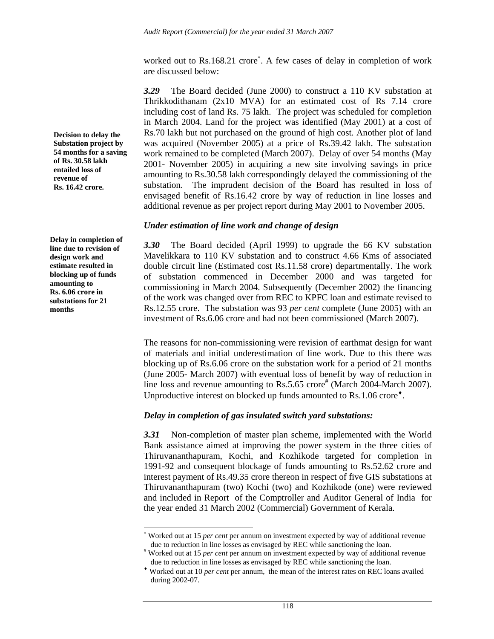worked out to Rs.168.21 crore<sup>∗</sup>. A few cases of delay in completion of work are discussed below:

*3.29* The Board decided (June 2000) to construct a 110 KV substation at Thrikkodithanam (2x10 MVA) for an estimated cost of Rs 7.14 crore including cost of land Rs. 75 lakh. The project was scheduled for completion in March 2004. Land for the project was identified (May 2001) at a cost of Rs.70 lakh but not purchased on the ground of high cost. Another plot of land was acquired (November 2005) at a price of Rs.39.42 lakh. The substation work remained to be completed (March 2007). Delay of over 54 months (May 2001- November 2005) in acquiring a new site involving savings in price amounting to Rs.30.58 lakh correspondingly delayed the commissioning of the substation. The imprudent decision of the Board has resulted in loss of envisaged benefit of Rs.16.42 crore by way of reduction in line losses and additional revenue as per project report during May 2001 to November 2005.

#### *Under estimation of line work and change of design*

*3.30* The Board decided (April 1999) to upgrade the 66 KV substation Mavelikkara to 110 KV substation and to construct 4.66 Kms of associated double circuit line (Estimated cost Rs.11.58 crore) departmentally. The work of substation commenced in December 2000 and was targeted for commissioning in March 2004. Subsequently (December 2002) the financing of the work was changed over from REC to KPFC loan and estimate revised to Rs.12.55 crore. The substation was 93 *per cent* complete (June 2005) with an investment of Rs.6.06 crore and had not been commissioned (March 2007).

The reasons for non-commissioning were revision of earthmat design for want of materials and initial underestimation of line work. Due to this there was blocking up of Rs.6.06 crore on the substation work for a period of 21 months (June 2005- March 2007) with eventual loss of benefit by way of reduction in line loss and revenue amounting to Rs.5.65 crore<sup>#</sup> (March 2004-March 2007). Unproductive interest on blocked up funds amounted to  $\text{Rs}.1.06$  crore<sup> $\bullet$ </sup>.

#### *Delay in completion of gas insulated switch yard substations:*

*3.31* Non-completion of master plan scheme, implemented with the World Bank assistance aimed at improving the power system in the three cities of Thiruvananthapuram, Kochi, and Kozhikode targeted for completion in 1991-92 and consequent blockage of funds amounting to Rs.52.62 crore and interest payment of Rs.49.35 crore thereon in respect of five GIS substations at Thiruvananthapuram (two) Kochi (two) and Kozhikode (one) were reviewed and included in Report of the Comptroller and Auditor General of India for the year ended 31 March 2002 (Commercial) Government of Kerala.

**Decision to delay the Substation project by 54 months for a saving of Rs. 30.58 lakh entailed loss of revenue of Rs. 16.42 crore.** 

**Delay in completion of line due to revision of design work and estimate resulted in blocking up of funds amounting to Rs. 6.06 crore in substations for 21 months** 

<sup>∗</sup> Worked out at 15 *per cent* per annum on investment expected by way of additional revenue due to reduction in line losses as envisaged by REC while sanctioning the loan.

<sup>#</sup> Worked out at 15 *per cent* per annum on investment expected by way of additional revenue due to reduction in line losses as envisaged by REC while sanctioning the loan.

<sup>♦</sup> Worked out at 10 *per cent* per annum, the mean of the interest rates on REC loans availed during 2002-07.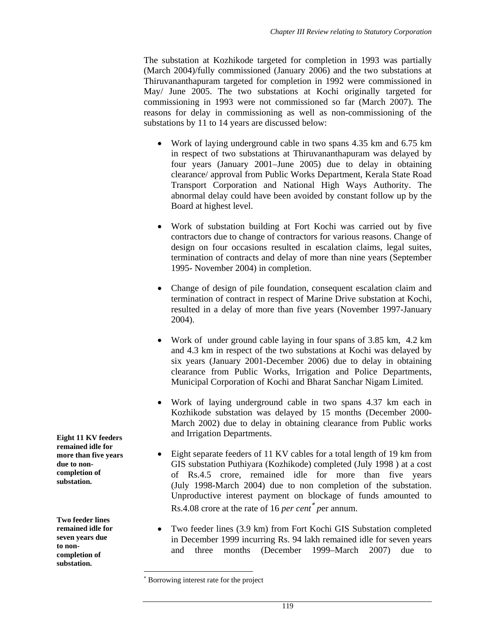The substation at Kozhikode targeted for completion in 1993 was partially (March 2004)/fully commissioned (January 2006) and the two substations at Thiruvananthapuram targeted for completion in 1992 were commissioned in May/ June 2005. The two substations at Kochi originally targeted for commissioning in 1993 were not commissioned so far (March 2007). The reasons for delay in commissioning as well as non-commissioning of the substations by 11 to 14 years are discussed below:

- Work of laying underground cable in two spans 4.35 km and 6.75 km in respect of two substations at Thiruvananthapuram was delayed by four years (January 2001–June 2005) due to delay in obtaining clearance/ approval from Public Works Department, Kerala State Road Transport Corporation and National High Ways Authority. The abnormal delay could have been avoided by constant follow up by the Board at highest level.
- Work of substation building at Fort Kochi was carried out by five contractors due to change of contractors for various reasons. Change of design on four occasions resulted in escalation claims, legal suites, termination of contracts and delay of more than nine years (September 1995- November 2004) in completion.
- Change of design of pile foundation, consequent escalation claim and termination of contract in respect of Marine Drive substation at Kochi, resulted in a delay of more than five years (November 1997-January 2004).
- Work of under ground cable laying in four spans of 3.85 km, 4.2 km and 4.3 km in respect of the two substations at Kochi was delayed by six years (January 2001-December 2006) due to delay in obtaining clearance from Public Works, Irrigation and Police Departments, Municipal Corporation of Kochi and Bharat Sanchar Nigam Limited.
- Work of laying underground cable in two spans 4.37 km each in Kozhikode substation was delayed by 15 months (December 2000- March 2002) due to delay in obtaining clearance from Public works and Irrigation Departments.
- Eight separate feeders of 11 KV cables for a total length of 19 km from GIS substation Puthiyara (Kozhikode) completed (July 1998 ) at a cost of Rs.4.5 crore, remained idle for more than five years (July 1998-March 2004) due to non completion of the substation. Unproductive interest payment on blockage of funds amounted to Rs.4.08 crore at the rate of 16 *per cent*<sup>∗</sup> *p*er annum.
- Two feeder lines (3.9 km) from Fort Kochi GIS Substation completed in December 1999 incurring Rs. 94 lakh remained idle for seven years and three months (December 1999–March 2007) due to

l

**Eight 11 KV feeders remained idle for more than five years due to noncompletion of substation.** 

**Two feeder lines remained idle for seven years due to noncompletion of substation.** 

<sup>∗</sup> Borrowing interest rate for the project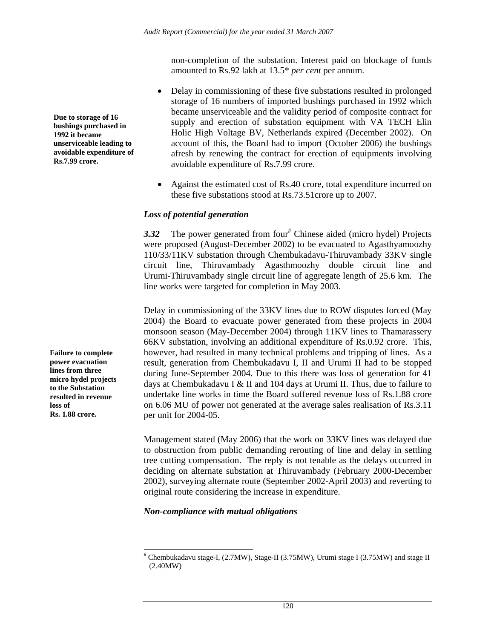non-completion of the substation. Interest paid on blockage of funds amounted to Rs.92 lakh at 13.5\* *per cent* per annum.

- Delay in commissioning of these five substations resulted in prolonged storage of 16 numbers of imported bushings purchased in 1992 which became unserviceable and the validity period of composite contract for supply and erection of substation equipment with VA TECH Elin Holic High Voltage BV, Netherlands expired (December 2002). On account of this, the Board had to import (October 2006) the bushings afresh by renewing the contract for erection of equipments involving avoidable expenditure of Rs**.**7.99 crore.
- Against the estimated cost of Rs.40 crore, total expenditure incurred on these five substations stood at Rs.73.51crore up to 2007.

#### *Loss of potential generation*

3.32 The power generated from four<sup>#</sup> Chinese aided (micro hydel) Projects were proposed (August-December 2002) to be evacuated to Agasthyamoozhy 110/33/11KV substation through Chembukadavu-Thiruvambady 33KV single circuit line, Thiruvambady Agasthmoozhy double circuit line and Urumi-Thiruvambady single circuit line of aggregate length of 25.6 km. The line works were targeted for completion in May 2003.

Delay in commissioning of the 33KV lines due to ROW disputes forced (May 2004) the Board to evacuate power generated from these projects in 2004 monsoon season (May-December 2004) through 11KV lines to Thamarassery 66KV substation, involving an additional expenditure of Rs.0.92 crore. This, however, had resulted in many technical problems and tripping of lines. As a result, generation from Chembukadavu I, II and Urumi II had to be stopped during June-September 2004. Due to this there was loss of generation for 41 days at Chembukadavu I & II and 104 days at Urumi II. Thus, due to failure to undertake line works in time the Board suffered revenue loss of Rs.1.88 crore on 6.06 MU of power not generated at the average sales realisation of Rs.3.11 per unit for 2004-05.

Management stated (May 2006) that the work on 33KV lines was delayed due to obstruction from public demanding rerouting of line and delay in settling tree cutting compensation. The reply is not tenable as the delays occurred in deciding on alternate substation at Thiruvambady (February 2000-December 2002), surveying alternate route (September 2002-April 2003) and reverting to original route considering the increase in expenditure.

#### *Non-compliance with mutual obligations*

**Failure to complete power evacuation lines from three micro hydel projects to the Substation resulted in revenue loss of Rs. 1.88 crore.** 

**Due to storage of 16 bushings purchased in 1992 it became unserviceable leading to avoidable expenditure of Rs.7.99 crore.** 

l # Chembukadavu stage-I, (2.7MW), Stage-II (3.75MW), Urumi stage I (3.75MW) and stage II (2.40MW)

<sup>120</sup>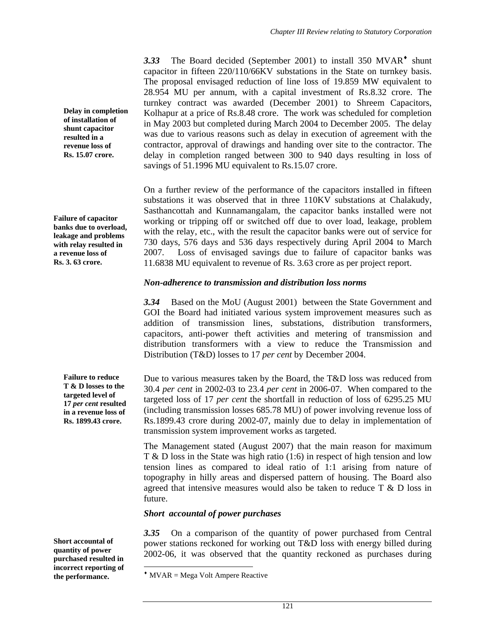3.33 The Board decided (September 2001) to install 350 MVAR<sup> $\bullet$ </sup> shunt capacitor in fifteen 220/110/66KV substations in the State on turnkey basis. The proposal envisaged reduction of line loss of 19.859 MW equivalent to 28.954 MU per annum, with a capital investment of Rs.8.32 crore. The turnkey contract was awarded (December 2001) to Shreem Capacitors, Kolhapur at a price of Rs.8.48 crore. The work was scheduled for completion in May 2003 but completed during March 2004 to December 2005. The delay was due to various reasons such as delay in execution of agreement with the contractor, approval of drawings and handing over site to the contractor. The delay in completion ranged between 300 to 940 days resulting in loss of savings of 51.1996 MU equivalent to Rs.15.07 crore.

On a further review of the performance of the capacitors installed in fifteen substations it was observed that in three 110KV substations at Chalakudy, Sasthancottah and Kunnamangalam, the capacitor banks installed were not working or tripping off or switched off due to over load, leakage, problem with the relay, etc., with the result the capacitor banks were out of service for 730 days, 576 days and 536 days respectively during April 2004 to March 2007. Loss of envisaged savings due to failure of capacitor banks was 11.6838 MU equivalent to revenue of Rs. 3.63 crore as per project report.

#### *Non-adherence to transmission and distribution loss norms*

*3.34* Based on the MoU (August 2001) between the State Government and GOI the Board had initiated various system improvement measures such as addition of transmission lines, substations, distribution transformers, capacitors, anti-power theft activities and metering of transmission and distribution transformers with a view to reduce the Transmission and Distribution (T&D) losses to 17 *per cent* by December 2004.

Due to various measures taken by the Board, the T&D loss was reduced from 30.4 *per cent* in 2002-03 to 23.4 *per cent* in 2006-07. When compared to the targeted loss of 17 *per cent* the shortfall in reduction of loss of 6295.25 MU (including transmission losses 685.78 MU) of power involving revenue loss of Rs.1899.43 crore during 2002-07, mainly due to delay in implementation of transmission system improvement works as targeted.

The Management stated (August 2007) that the main reason for maximum T & D loss in the State was high ratio (1:6) in respect of high tension and low tension lines as compared to ideal ratio of 1:1 arising from nature of topography in hilly areas and dispersed pattern of housing. The Board also agreed that intensive measures would also be taken to reduce T & D loss in future.

#### *Short accountal of power purchases*

*3.35* On a comparison of the quantity of power purchased from Central power stations reckoned for working out T&D loss with energy billed during 2002-06, it was observed that the quantity reckoned as purchases during

**Delay in completion of installation of shunt capacitor resulted in a revenue loss of Rs. 15.07 crore.** 

**Failure of capacitor banks due to overload, leakage and problems with relay resulted in a revenue loss of Rs. 3. 63 crore.** 

> **Failure to reduce T & D losses to the targeted level of 17** *per cent* **resulted in a revenue loss of Rs. 1899.43 crore.**

**Short accountal of quantity of power purchased resulted in incorrect reporting of the performance.** 

 $*$  MVAR = Mega Volt Ampere Reactive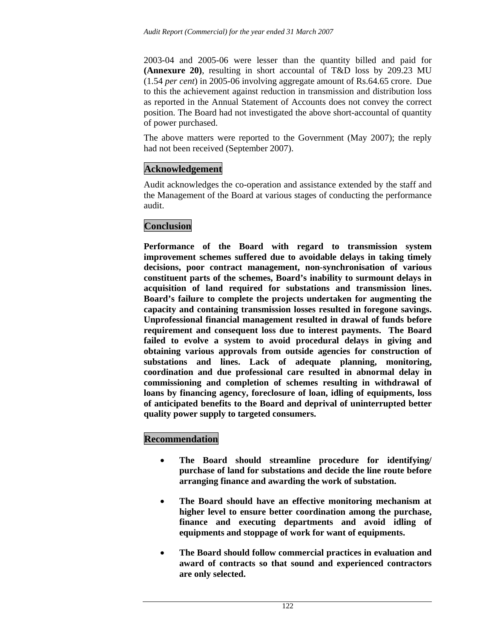2003-04 and 2005-06 were lesser than the quantity billed and paid for **(Annexure 20)**, resulting in short accountal of T&D loss by 209.23 MU (1.54 *per cent*) in 2005-06 involving aggregate amount of Rs.64.65 crore. Due to this the achievement against reduction in transmission and distribution loss as reported in the Annual Statement of Accounts does not convey the correct position. The Board had not investigated the above short-accountal of quantity of power purchased.

The above matters were reported to the Government (May 2007); the reply had not been received (September 2007).

# **Acknowledgement**

Audit acknowledges the co-operation and assistance extended by the staff and the Management of the Board at various stages of conducting the performance audit.

# **Conclusion**

**Performance of the Board with regard to transmission system improvement schemes suffered due to avoidable delays in taking timely decisions, poor contract management, non-synchronisation of various constituent parts of the schemes, Board's inability to surmount delays in acquisition of land required for substations and transmission lines. Board's failure to complete the projects undertaken for augmenting the capacity and containing transmission losses resulted in foregone savings. Unprofessional financial management resulted in drawal of funds before requirement and consequent loss due to interest payments. The Board failed to evolve a system to avoid procedural delays in giving and obtaining various approvals from outside agencies for construction of substations and lines. Lack of adequate planning, monitoring, coordination and due professional care resulted in abnormal delay in commissioning and completion of schemes resulting in withdrawal of loans by financing agency, foreclosure of loan, idling of equipments, loss of anticipated benefits to the Board and deprival of uninterrupted better quality power supply to targeted consumers.** 

# **Recommendation**

- **The Board should streamline procedure for identifying/ purchase of land for substations and decide the line route before arranging finance and awarding the work of substation.**
- **The Board should have an effective monitoring mechanism at higher level to ensure better coordination among the purchase, finance and executing departments and avoid idling of equipments and stoppage of work for want of equipments.**
- **The Board should follow commercial practices in evaluation and award of contracts so that sound and experienced contractors are only selected.**